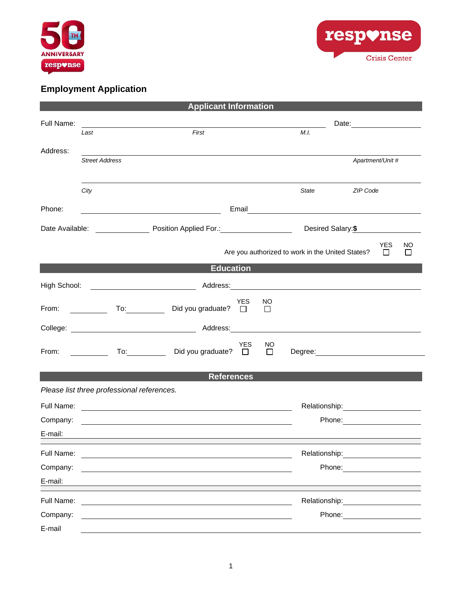



## **Employment Application**

| <b>Applicant Information</b> |                                                                                                                                                                                                                                                        |                                                                                                                                                                                                                               |            |               |                                                                                                                                                                                                                                      |                                                                                                                                                                                                                                |                                 |  |  |  |
|------------------------------|--------------------------------------------------------------------------------------------------------------------------------------------------------------------------------------------------------------------------------------------------------|-------------------------------------------------------------------------------------------------------------------------------------------------------------------------------------------------------------------------------|------------|---------------|--------------------------------------------------------------------------------------------------------------------------------------------------------------------------------------------------------------------------------------|--------------------------------------------------------------------------------------------------------------------------------------------------------------------------------------------------------------------------------|---------------------------------|--|--|--|
| Full Name:                   |                                                                                                                                                                                                                                                        | the control of the control of the control of the control of the control of the control of the control of the control of the control of the control of the control of the control of the control of the control of the control |            |               |                                                                                                                                                                                                                                      |                                                                                                                                                                                                                                |                                 |  |  |  |
|                              | Last                                                                                                                                                                                                                                                   | First                                                                                                                                                                                                                         |            |               | M.I.                                                                                                                                                                                                                                 |                                                                                                                                                                                                                                |                                 |  |  |  |
| Address:                     | <b>Street Address</b>                                                                                                                                                                                                                                  |                                                                                                                                                                                                                               |            |               |                                                                                                                                                                                                                                      | Apartment/Unit #                                                                                                                                                                                                               |                                 |  |  |  |
|                              |                                                                                                                                                                                                                                                        |                                                                                                                                                                                                                               |            |               |                                                                                                                                                                                                                                      |                                                                                                                                                                                                                                |                                 |  |  |  |
|                              | City                                                                                                                                                                                                                                                   |                                                                                                                                                                                                                               |            |               | State                                                                                                                                                                                                                                | ZIP Code                                                                                                                                                                                                                       |                                 |  |  |  |
| Phone:                       |                                                                                                                                                                                                                                                        | <u> 1989 - Johann Barnett, fransk politik (d. 1989)</u>                                                                                                                                                                       |            |               | Email <b>Exercise Contract Contract Contract Contract Contract Contract Contract Contract Contract Contract Contract Contract Contract Contract Contract Contract Contract Contract Contract Contract Contract Contract Contract</b> |                                                                                                                                                                                                                                |                                 |  |  |  |
|                              |                                                                                                                                                                                                                                                        |                                                                                                                                                                                                                               |            |               |                                                                                                                                                                                                                                      |                                                                                                                                                                                                                                |                                 |  |  |  |
| Desired Salary: \$           |                                                                                                                                                                                                                                                        |                                                                                                                                                                                                                               |            |               |                                                                                                                                                                                                                                      |                                                                                                                                                                                                                                |                                 |  |  |  |
|                              |                                                                                                                                                                                                                                                        |                                                                                                                                                                                                                               |            |               | Are you authorized to work in the United States?                                                                                                                                                                                     |                                                                                                                                                                                                                                | <b>YES</b><br>NO<br>$\Box$<br>□ |  |  |  |
| <b>Education</b>             |                                                                                                                                                                                                                                                        |                                                                                                                                                                                                                               |            |               |                                                                                                                                                                                                                                      |                                                                                                                                                                                                                                |                                 |  |  |  |
| High School:                 |                                                                                                                                                                                                                                                        |                                                                                                                                                                                                                               |            |               |                                                                                                                                                                                                                                      |                                                                                                                                                                                                                                |                                 |  |  |  |
| From:                        | $\begin{array}{c} \begin{array}{c} \begin{array}{c} \begin{array}{c} \end{array} \\ \end{array} \end{array} \end{array} \end{array} \end{array} \end{array} \begin{array}{c} \begin{array}{c} \begin{array}{c} \end{array} \\ \end{array} \end{array}$ | Did you graduate? $\Box$                                                                                                                                                                                                      | <b>YES</b> | NO<br>$\Box$  |                                                                                                                                                                                                                                      |                                                                                                                                                                                                                                |                                 |  |  |  |
|                              |                                                                                                                                                                                                                                                        |                                                                                                                                                                                                                               |            |               |                                                                                                                                                                                                                                      |                                                                                                                                                                                                                                |                                 |  |  |  |
| From: $\qquad \qquad$        |                                                                                                                                                                                                                                                        | To: Did you graduate? □                                                                                                                                                                                                       | <b>YES</b> | NO.<br>$\Box$ | Degree: Degree:                                                                                                                                                                                                                      |                                                                                                                                                                                                                                |                                 |  |  |  |
|                              |                                                                                                                                                                                                                                                        | <b>References</b>                                                                                                                                                                                                             |            |               |                                                                                                                                                                                                                                      |                                                                                                                                                                                                                                |                                 |  |  |  |
|                              | Please list three professional references.                                                                                                                                                                                                             |                                                                                                                                                                                                                               |            |               |                                                                                                                                                                                                                                      |                                                                                                                                                                                                                                |                                 |  |  |  |
|                              |                                                                                                                                                                                                                                                        |                                                                                                                                                                                                                               |            |               |                                                                                                                                                                                                                                      | Relationship: 2000                                                                                                                                                                                                             |                                 |  |  |  |
| Company:                     |                                                                                                                                                                                                                                                        |                                                                                                                                                                                                                               |            |               |                                                                                                                                                                                                                                      | Phone: ________________________                                                                                                                                                                                                |                                 |  |  |  |
| E-mail:                      |                                                                                                                                                                                                                                                        |                                                                                                                                                                                                                               |            |               |                                                                                                                                                                                                                                      |                                                                                                                                                                                                                                |                                 |  |  |  |
| Full Name:                   |                                                                                                                                                                                                                                                        |                                                                                                                                                                                                                               |            |               |                                                                                                                                                                                                                                      | Relationship: example and all the set of the set of the set of the set of the set of the set of the set of the                                                                                                                 |                                 |  |  |  |
| Company:                     |                                                                                                                                                                                                                                                        |                                                                                                                                                                                                                               |            |               |                                                                                                                                                                                                                                      | Phone: the contract of the contract of the contract of the contract of the contract of the contract of the contract of the contract of the contract of the contract of the contract of the contract of the contract of the con |                                 |  |  |  |
| E-mail:                      |                                                                                                                                                                                                                                                        |                                                                                                                                                                                                                               |            |               |                                                                                                                                                                                                                                      |                                                                                                                                                                                                                                |                                 |  |  |  |
| Full Name:                   |                                                                                                                                                                                                                                                        |                                                                                                                                                                                                                               |            |               | Relationship:                                                                                                                                                                                                                        |                                                                                                                                                                                                                                |                                 |  |  |  |
| Company:                     |                                                                                                                                                                                                                                                        |                                                                                                                                                                                                                               |            |               | Phone:                                                                                                                                                                                                                               |                                                                                                                                                                                                                                |                                 |  |  |  |
| E-mail                       |                                                                                                                                                                                                                                                        |                                                                                                                                                                                                                               |            |               |                                                                                                                                                                                                                                      |                                                                                                                                                                                                                                |                                 |  |  |  |